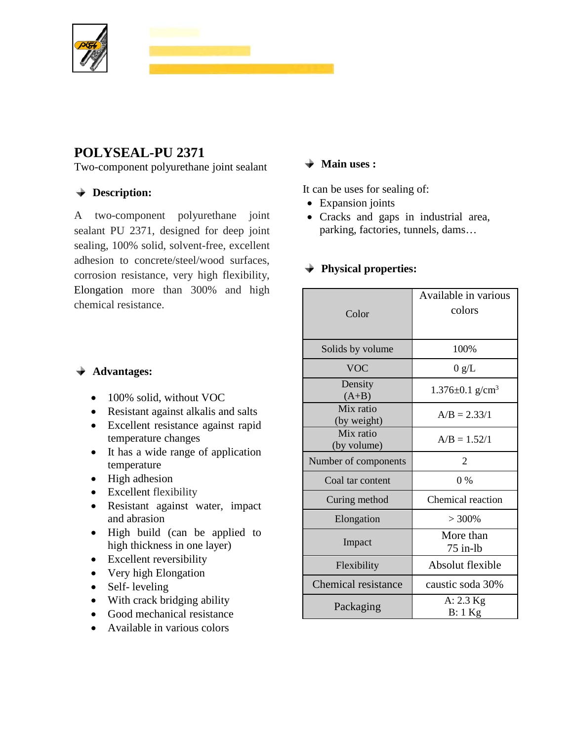

# **POLYSEAL-PU 2371**

Two-component polyurethane joint sealant

## **Description:**

A two-component polyurethane joint sealant PU 2371, designed for deep joint sealing, 100% solid, solvent-free, excellent adhesion to concrete/steel/wood surfaces, corrosion resistance, very high flexibility, Elongation more than 300% and high chemical resistance.

#### **Advantages:**

- 100% solid, without VOC
- Resistant against alkalis and salts
- Excellent resistance against rapid temperature changes
- It has a wide range of application temperature
- High adhesion
- Excellent flexibility
- Resistant against water, impact and abrasion
- High build (can be applied to high thickness in one layer)
- Excellent reversibility
- Very high Elongation
- Self- leveling
- With crack bridging ability
- Good mechanical resistance
- Available in various colors

### **Main uses :**

It can be uses for sealing of:

- Expansion joints
- Cracks and gaps in industrial area, parking, factories, tunnels, dams…

#### **Physical properties:**

| Color                      | Available in various<br>colors    |
|----------------------------|-----------------------------------|
| Solids by volume           | 100%                              |
| <b>VOC</b>                 | 0 g/L                             |
| Density<br>$(A+B)$         | $1.376 \pm 0.1$ g/cm <sup>3</sup> |
| Mix ratio<br>(by weight)   | $A/B = 2.33/1$                    |
| Mix ratio<br>(by volume)   | $A/B = 1.52/1$                    |
| Number of components       | $\overline{2}$                    |
|                            |                                   |
| Coal tar content           | $0\%$                             |
| Curing method              | Chemical reaction                 |
| Elongation                 | $> 300\%$                         |
| Impact                     | More than<br>$75$ in-lb           |
| Flexibility                | Absolut flexible                  |
| <b>Chemical resistance</b> | caustic soda 30%                  |